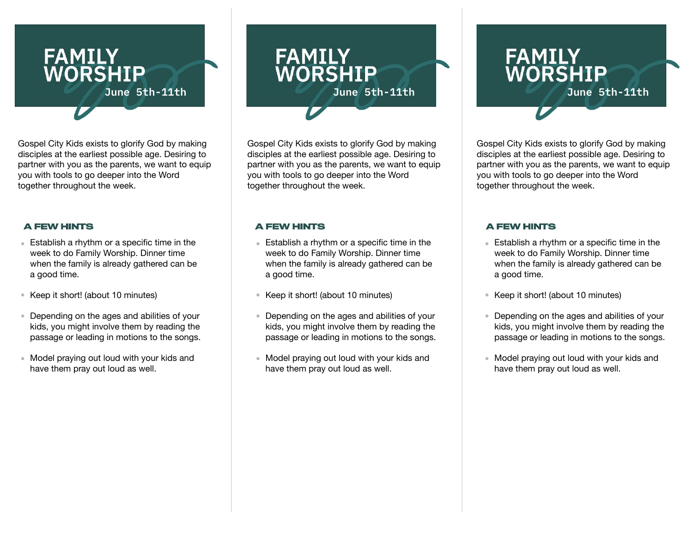

Gospel City Kids exists to glorify God by making disciples at the earliest possible age. Desiring to partner with you as the parents, we want to equip you with tools to go deeper into the Word together throughout the week.

# **A FEW HINTS**

- Establish a rhythm or a specific time in the week to do Family Worship. Dinner time when the family is already gathered can be a good time.
- Keep it short! (about 10 minutes)
- Depending on the ages and abilities of your kids, you might involve them by reading the passage or leading in motions to the songs.
- Model praying out loud with your kids and have them pray out loud as well.

# **FAMILY<br>WORSHIP June 5th-11th June 5th-11th**

**Gospel City Kids exists to glorify God by making** Gospel City Kids exists to glorify God by making **Figure 12** Gospel City Kids exists to glorify God by making disciples at the earliest possible age. Desiring to partner with you as the parents, we want to equip you with tools to go deeper into the Word together throughout the week.

## **A FEW HINTS**

- Establish a rhythm or a specific time in the week to do Family Worship. Dinner time when the family is already gathered can be a good time.
- Keep it short! (about 10 minutes)
- Depending on the ages and abilities of your kids, you might involve them by reading the passage or leading in motions to the songs.
- Model praying out loud with your kids and have them pray out loud as well.

# **FAMILY<br>WORSHIP**

disciples at the earliest possible age. Desiring to partner with you as the parents, we want to equip you with tools to go deeper into the Word together throughout the week.

# **A FEW HINTS**

- Establish a rhythm or a specific time in the week to do Family Worship. Dinner time when the family is already gathered can be a good time.
- Keep it short! (about 10 minutes)
- Depending on the ages and abilities of your kids, you might involve them by reading the passage or leading in motions to the songs.
- Model praying out loud with your kids and have them pray out loud as well.